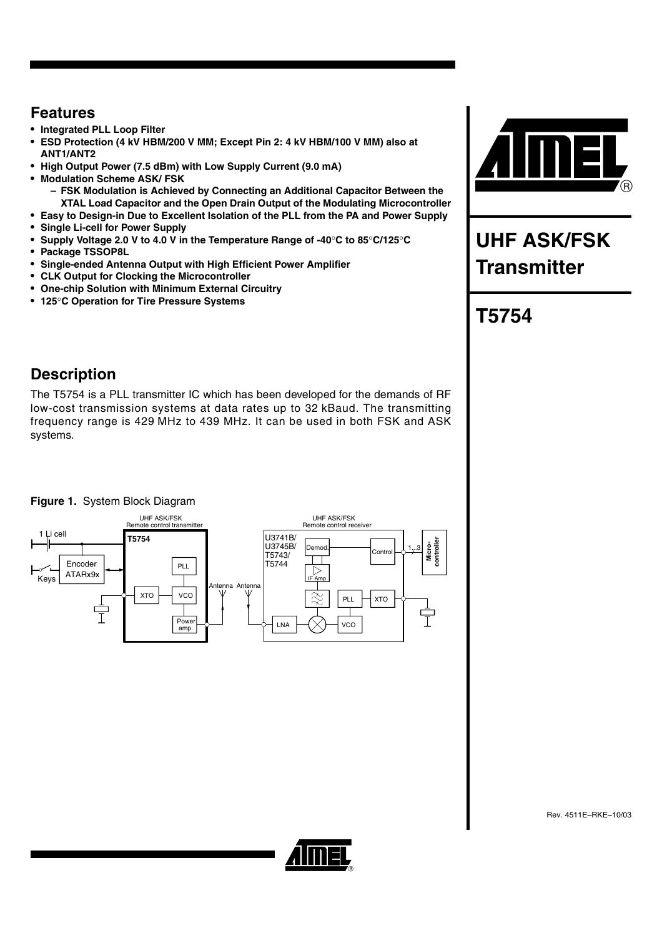## **Features**

- **Integrated PLL Loop Filter**
- **ESD Protection (4 kV HBM/200 V MM; Except Pin 2: 4 kV HBM/100 V MM) also at ANT1/ANT2**
- **High Output Power (7.5 dBm) with Low Supply Current (9.0 mA)**
- **Modulation Scheme ASK/ FSK** 
	- **FSK Modulation is Achieved by Connecting an Additional Capacitor Between the XTAL Load Capacitor and the Open Drain Output of the Modulating Microcontroller**
- **Easy to Design-in Due to Excellent Isolation of the PLL from the PA and Power Supply**
- **Single Li-cell for Power Supply**
- **Supply Voltage 2.0 V to 4.0 V in the Temperature Range of -40C to 85C/125C**
- **Package TSSOP8L**
- **Single-ended Antenna Output with High Efficient Power Amplifier**
- **CLK Output for Clocking the Microcontroller**
- **One-chip Solution with Minimum External Circuitry**
- **125C Operation for Tire Pressure Systems**

# **UHF ASK/FSK Transmitter**

# **T5754**

## **Description**

The T5754 is a PLL transmitter IC which has been developed for the demands of RF low-cost transmission systems at data rates up to 32 kBaud. The transmitting frequency range is 429 MHz to 439 MHz. It can be used in both FSK and ASK systems.

### **Figure 1.** System Block Diagram



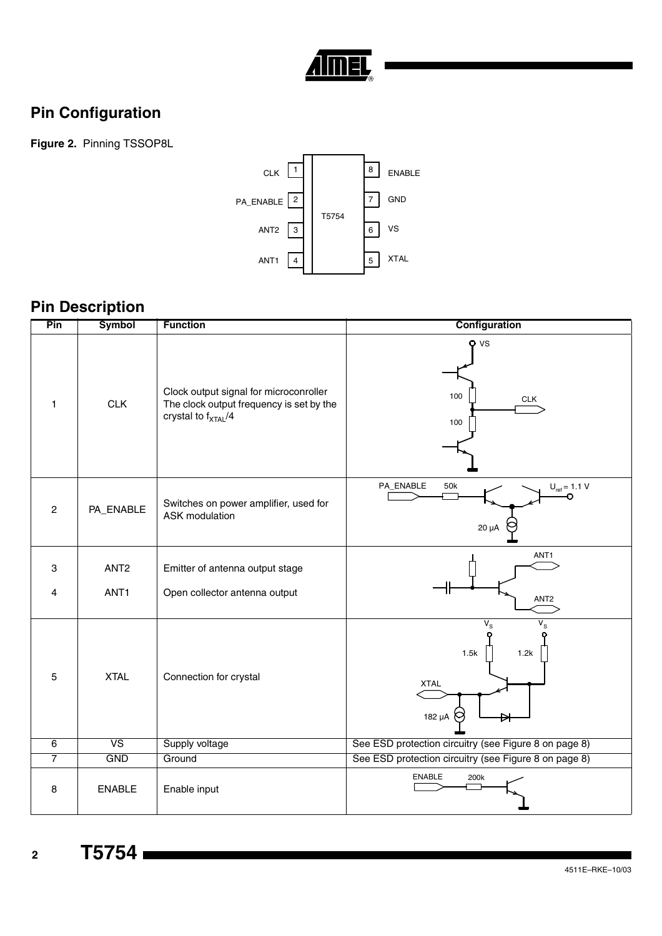

# **Pin Configuration**

**Figure 2.** Pinning TSSOP8L



# **Pin Description**

| Pin            | <b>Symbol</b>                        | <b>Function</b>                                                                                                       | Configuration                                                       |
|----------------|--------------------------------------|-----------------------------------------------------------------------------------------------------------------------|---------------------------------------------------------------------|
| $\mathbf{1}$   | <b>CLK</b>                           | Clock output signal for microconroller<br>The clock output frequency is set by the<br>crystal to f <sub>XTAL</sub> /4 | $Q$ VS<br>100<br><b>CLK</b><br>100                                  |
| $\overline{c}$ | PA_ENABLE                            | Switches on power amplifier, used for<br><b>ASK</b> modulation                                                        | PA_ENABLE<br>50k<br>$U_{ref} = 1.1 V$<br>$20 \mu A$                 |
| 3<br>4         | ANT <sub>2</sub><br>ANT <sub>1</sub> | Emitter of antenna output stage<br>Open collector antenna output                                                      | ANT1<br>ANT <sub>2</sub>                                            |
| 5              | <b>XTAL</b>                          | Connection for crystal                                                                                                | $V_{\rm S}$<br>$V_{\rm S}$<br>1.5k<br>1.2k<br><b>XTAL</b><br>182 µA |
| 6              | <b>VS</b>                            | Supply voltage                                                                                                        | See ESD protection circuitry (see Figure 8 on page 8)               |
| $\overline{7}$ | <b>GND</b>                           | Ground                                                                                                                | See ESD protection circuitry (see Figure 8 on page 8)               |
| 8              | <b>ENABLE</b>                        | Enable input                                                                                                          | <b>ENABLE</b><br>200k                                               |

**<sup>2</sup> T5754**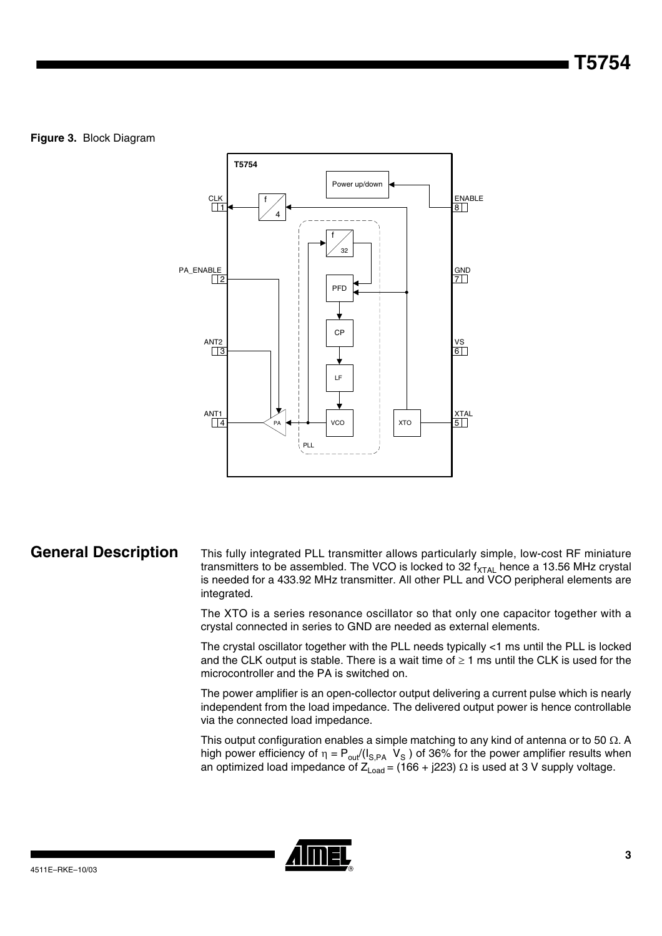### **Figure 3.** Block Diagram



General Description This fully integrated PLL transmitter allows particularly simple, low-cost RF miniature transmitters to be assembled. The VCO is locked to 32  $f_{\text{XTAL}}$  hence a 13.56 MHz crystal is needed for a 433.92 MHz transmitter. All other PLL and VCO peripheral elements are integrated.

> The XTO is a series resonance oscillator so that only one capacitor together with a crystal connected in series to GND are needed as external elements.

> The crystal oscillator together with the PLL needs typically <1 ms until the PLL is locked and the CLK output is stable. There is a wait time of  $\geq 1$  ms until the CLK is used for the microcontroller and the PA is switched on.

> The power amplifier is an open-collector output delivering a current pulse which is nearly independent from the load impedance. The delivered output power is hence controllable via the connected load impedance.

> This output configuration enables a simple matching to any kind of antenna or to 50  $\Omega.$  A high power efficiency of  $\eta = \mathsf{P}_{\mathsf{out}} / (\mathsf{I}_{\mathsf{S},\mathsf{PA}}\;\;\mathsf{V}_\mathsf{S}\,)$  of 36% for the power amplifier results when an optimized load impedance of Z $_{\sf Load}$  = (166 + j223)  $\Omega$  is used at 3 V supply voltage.

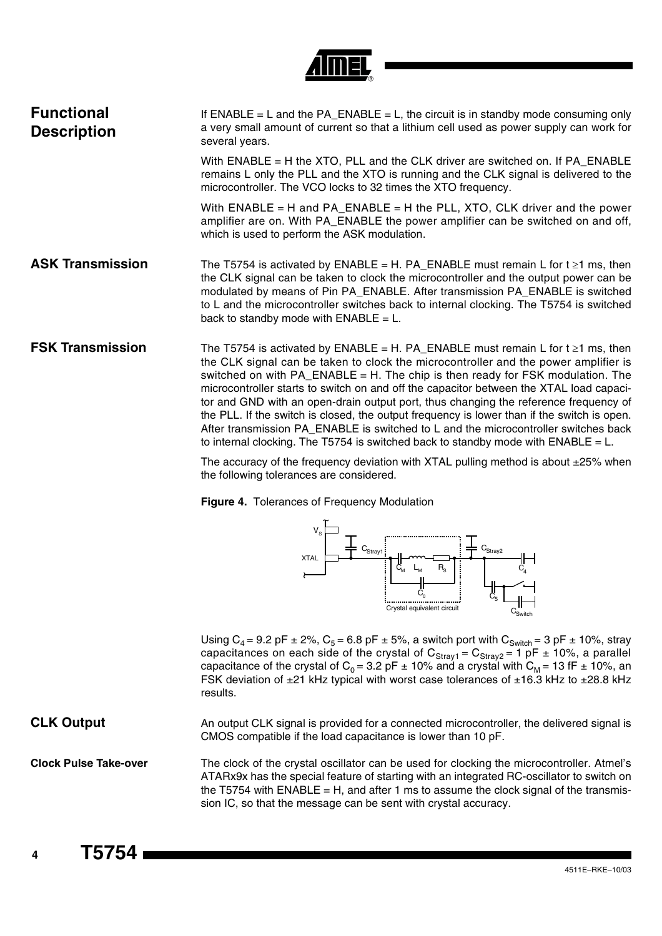

| <b>Functional</b><br><b>Description</b> | If $ENABLE = L$ and the $PA$ _ENABLE = L, the circuit is in standby mode consuming only<br>a very small amount of current so that a lithium cell used as power supply can work for<br>several years.                                                                                                                                                                                                                                                                                                                                                                                                                                                                                                                           |
|-----------------------------------------|--------------------------------------------------------------------------------------------------------------------------------------------------------------------------------------------------------------------------------------------------------------------------------------------------------------------------------------------------------------------------------------------------------------------------------------------------------------------------------------------------------------------------------------------------------------------------------------------------------------------------------------------------------------------------------------------------------------------------------|
|                                         | With ENABLE = H the XTO, PLL and the CLK driver are switched on. If PA_ENABLE<br>remains L only the PLL and the XTO is running and the CLK signal is delivered to the<br>microcontroller. The VCO locks to 32 times the XTO frequency.                                                                                                                                                                                                                                                                                                                                                                                                                                                                                         |
|                                         | With ENABLE = H and PA_ENABLE = H the PLL, XTO, CLK driver and the power<br>amplifier are on. With PA_ENABLE the power amplifier can be switched on and off,<br>which is used to perform the ASK modulation.                                                                                                                                                                                                                                                                                                                                                                                                                                                                                                                   |
| <b>ASK Transmission</b>                 | The T5754 is activated by ENABLE = H. PA_ENABLE must remain L for $t \ge 1$ ms, then<br>the CLK signal can be taken to clock the microcontroller and the output power can be<br>modulated by means of Pin PA_ENABLE. After transmission PA_ENABLE is switched<br>to L and the microcontroller switches back to internal clocking. The T5754 is switched<br>back to standby mode with $ENABLE = L$ .                                                                                                                                                                                                                                                                                                                            |
| <b>FSK Transmission</b>                 | The T5754 is activated by ENABLE = H. PA_ENABLE must remain L for $t \ge 1$ ms, then<br>the CLK signal can be taken to clock the microcontroller and the power amplifier is<br>switched on with PA_ENABLE = H. The chip is then ready for FSK modulation. The<br>microcontroller starts to switch on and off the capacitor between the XTAL load capaci-<br>tor and GND with an open-drain output port, thus changing the reference frequency of<br>the PLL. If the switch is closed, the output frequency is lower than if the switch is open.<br>After transmission PA_ENABLE is switched to L and the microcontroller switches back<br>to internal clocking. The T5754 is switched back to standby mode with ENABLE = $L$ . |
|                                         | The accuracy of the frequency deviation with XTAL pulling method is about +25% when                                                                                                                                                                                                                                                                                                                                                                                                                                                                                                                                                                                                                                            |

The accuracy of the frequency deviation with XTAL pulling method is about ±25% when the following tolerances are considered.

**Figure 4.** Tolerances of Frequency Modulation



Using  $C_4$  = 9.2 pF  $\pm$  2%,  $C_5$  = 6.8 pF  $\pm$  5%, a switch port with  $C_{\text{Switch}}$  = 3 pF  $\pm$  10%, stray capacitances on each side of the crystal of  $C_{\text{Stray1}} = C_{\text{Stray2}} = 1$  pF  $\pm$  10%, a parallel capacitance of the crystal of C<sub>0</sub> = 3.2 pF  $\pm$  10% and a crystal with C<sub>M</sub> = 13 fF  $\pm$  10%, an FSK deviation of  $\pm 21$  kHz typical with worst case tolerances of  $\pm 16.3$  kHz to  $\pm 28.8$  kHz results.

**CLK Output** An output CLK signal is provided for a connected microcontroller, the delivered signal is CMOS compatible if the load capacitance is lower than 10 pF.

**Clock Pulse Take-over** The clock of the crystal oscillator can be used for clocking the microcontroller. Atmel's ATARx9x has the special feature of starting with an integrated RC-oscillator to switch on the T5754 with ENABLE = H, and after 1 ms to assume the clock signal of the transmission IC, so that the message can be sent with crystal accuracy.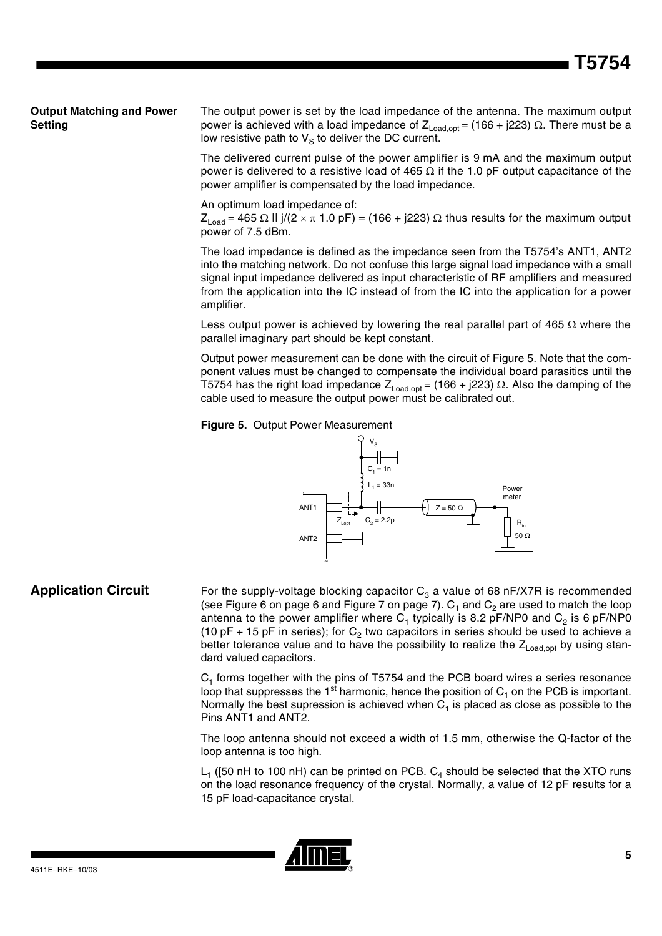### **Output Matching and Power Setting**

The output power is set by the load impedance of the antenna. The maximum output power is achieved with a load impedance of  $\mathsf{Z}_{\mathsf{Load},\mathsf{opt}}$  = (166 + j223)  $\Omega.$  There must be a low resistive path to  $V_S$  to deliver the DC current.

The delivered current pulse of the power amplifier is 9 mA and the maximum output power is delivered to a resistive load of 465  $\Omega$  if the 1.0 pF output capacitance of the power amplifier is compensated by the load impedance.

An optimum load impedance of:

Z<sub>Load</sub> = 465  $\Omega$  II j/(2  $\times$   $\pi$  1.0 pF) = (166 + j223)  $\Omega$  thus results for the maximum output power of 7.5 dBm.

The load impedance is defined as the impedance seen from the T5754's ANT1, ANT2 into the matching network. Do not confuse this large signal load impedance with a small signal input impedance delivered as input characteristic of RF amplifiers and measured from the application into the IC instead of from the IC into the application for a power amplifier.

Less output power is achieved by lowering the real parallel part of 465  $\Omega$  where the parallel imaginary part should be kept constant.

Output power measurement can be done with the circuit of [Figure 5.](#page-4-0) Note that the component values must be changed to compensate the individual board parasitics until the T5754 has the right load impedance  $\mathsf{Z}_{\mathsf{Load},\mathsf{opt}}$  = (166 + j223)  $\Omega$ . Also the damping of the cable used to measure the output power must be calibrated out.

<span id="page-4-0"></span>



### **Application Circuit** For the supply-voltage blocking capacitor C<sub>3</sub> a value of 68 nF/X7R is recommended (see [Figure 6 on page 6](#page-5-0) and [Figure 7 on page 7\)](#page-6-0).  $C_1$  and  $C_2$  are used to match the loop antenna to the power amplifier where  $C_1$  typically is 8.2 pF/NP0 and  $C_2$  is 6 pF/NP0 (10 pF + 15 pF in series); for  $C_2$  two capacitors in series should be used to achieve a better tolerance value and to have the possibility to realize the  $Z_{\text{load,oot}}$  by using standard valued capacitors.

~

 $C_1$  forms together with the pins of T5754 and the PCB board wires a series resonance loop that suppresses the 1<sup>st</sup> harmonic, hence the position of  $C_1$  on the PCB is important. Normally the best supression is achieved when  $C_1$  is placed as close as possible to the Pins ANT1 and ANT2.

The loop antenna should not exceed a width of 1.5 mm, otherwise the Q-factor of the loop antenna is too high.

 $L_1$  ([50 nH to 100 nH) can be printed on PCB.  $C_4$  should be selected that the XTO runs on the load resonance frequency of the crystal. Normally, a value of 12 pF results for a 15 pF load-capacitance crystal.

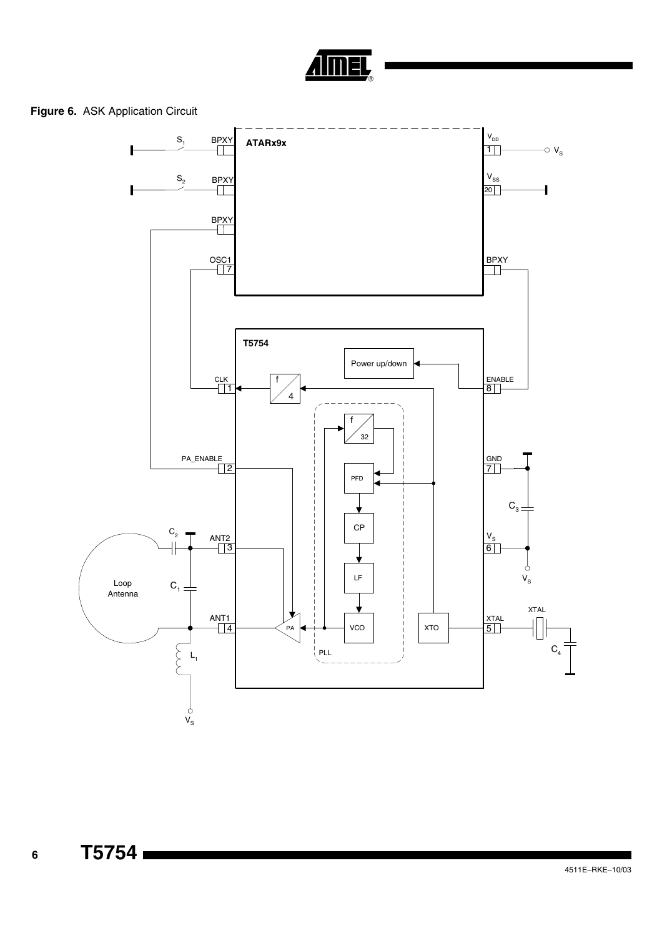

### <span id="page-5-0"></span>**Figure 6.** ASK Application Circuit

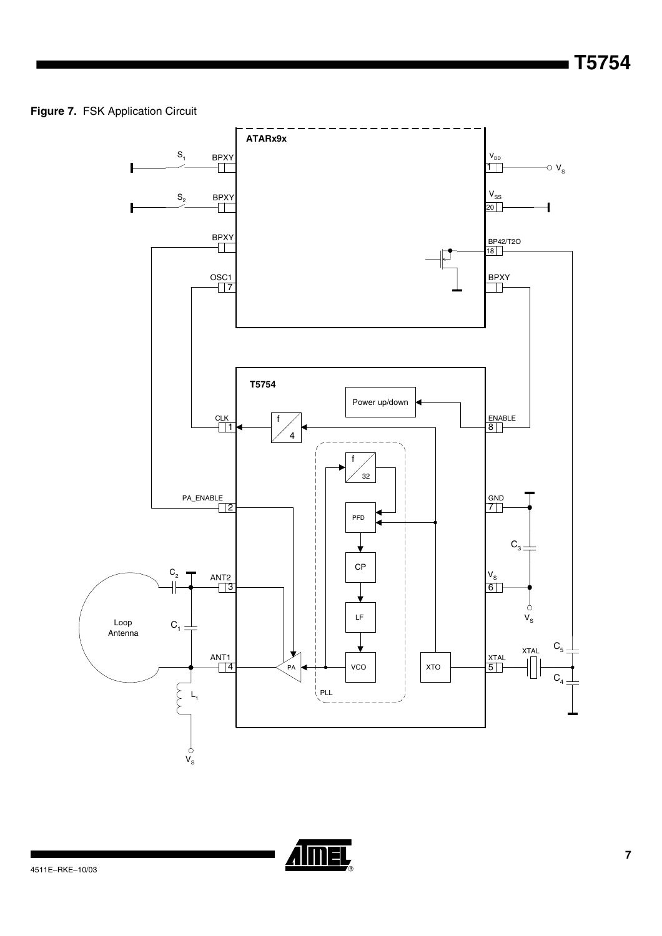### <span id="page-6-0"></span>**Figure 7.** FSK Application Circuit



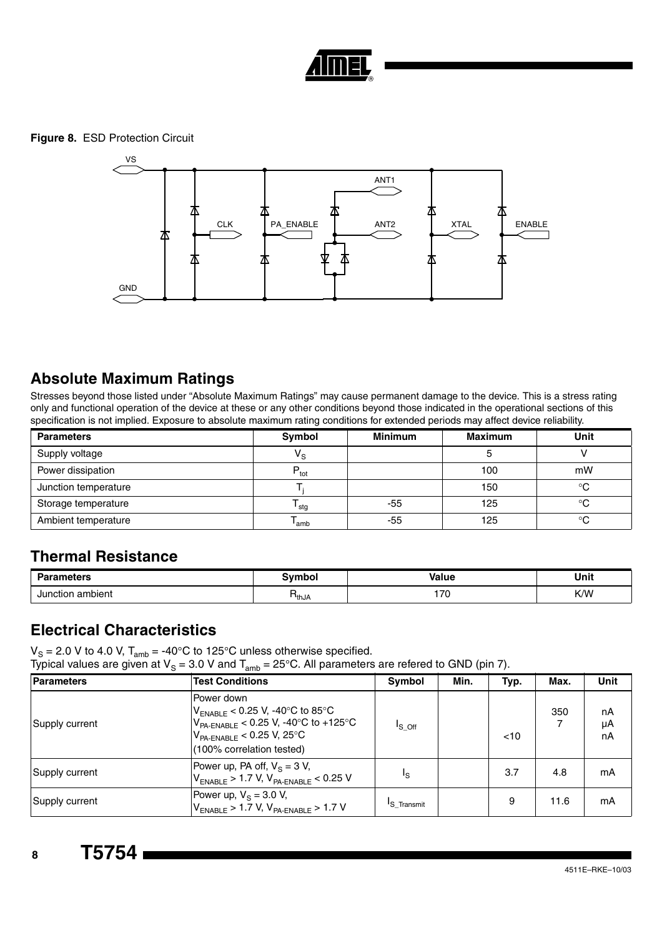

<span id="page-7-0"></span>**Figure 8.** ESD Protection Circuit



### **Absolute Maximum Ratings**

Stresses beyond those listed under "Absolute Maximum Ratings" may cause permanent damage to the device. This is a stress rating only and functional operation of the device at these or any other conditions beyond those indicated in the operational sections of this specification is not implied. Exposure to absolute maximum rating conditions for extended periods may affect device reliability.

| <b>Parameters</b>    | Symbol           | <b>Minimum</b> | <b>Maximum</b> | <b>Unit</b> |  |
|----------------------|------------------|----------------|----------------|-------------|--|
| Supply voltage       | $V_{\rm S}$      |                |                |             |  |
| Power dissipation    | $P_{\text{tot}}$ |                | 100            | mW          |  |
| Junction temperature |                  |                | 150            | $^{\circ}C$ |  |
| Storage temperature  | <sup>I</sup> stg | -55            | 125            | $^{\circ}C$ |  |
| Ambient temperature  | 'amb             | -55            | 125            | $^{\circ}C$ |  |

### **Thermal Resistance**

| Dor.<br>ameters       | הioש∂ | <b>Value</b> | Unit |
|-----------------------|-------|--------------|------|
| า ambient<br>Junction | ™thJA | 70<br>. 7 U  | K/W  |

### **Electrical Characteristics**

 $V_{\rm S}$  = 2.0 V to 4.0 V, T<sub>amb</sub> = -40°C to 125°C unless otherwise specified.

Typical values are given at V<sub>S</sub> = 3.0 V and T<sub>amb</sub> = 25°C. All parameters are refered to GND (pin 7).

| <b>Parameters</b> | <b>Test Conditions</b>                                                                                                                                                | Symbol                  | Min. | Typ. | Max.     | <b>Unit</b>    |
|-------------------|-----------------------------------------------------------------------------------------------------------------------------------------------------------------------|-------------------------|------|------|----------|----------------|
| Supply current    | Power down<br>$V_{ENABLE}$ < 0.25 V, -40°C to 85°C<br>$V_{PA\text{-ENABLE}}$ < 0.25 V, -40°C to +125°C<br>$V_{PA-ENABLE}$ < 0.25 V, 25°C<br>(100% correlation tested) | $I_S$ off               |      | < 10 | 350<br>7 | nA<br>μA<br>nA |
| Supply current    | Power up, PA off, $V_s = 3 V$ ,<br>$V_{ENABLE}$ > 1.7 V, $V_{PA-ENABLE}$ < 0.25 V                                                                                     | ٦ς                      |      | 3.7  | 4.8      | mA             |
| Supply current    | Power up, $V_s = 3.0 V$ ,<br>$V_{ENABLE}$ > 1.7 V, $V_{PA-ENABLE}$ > 1.7 V                                                                                            | <sup>I</sup> S Transmit |      | 9    | 11.6     | mA             |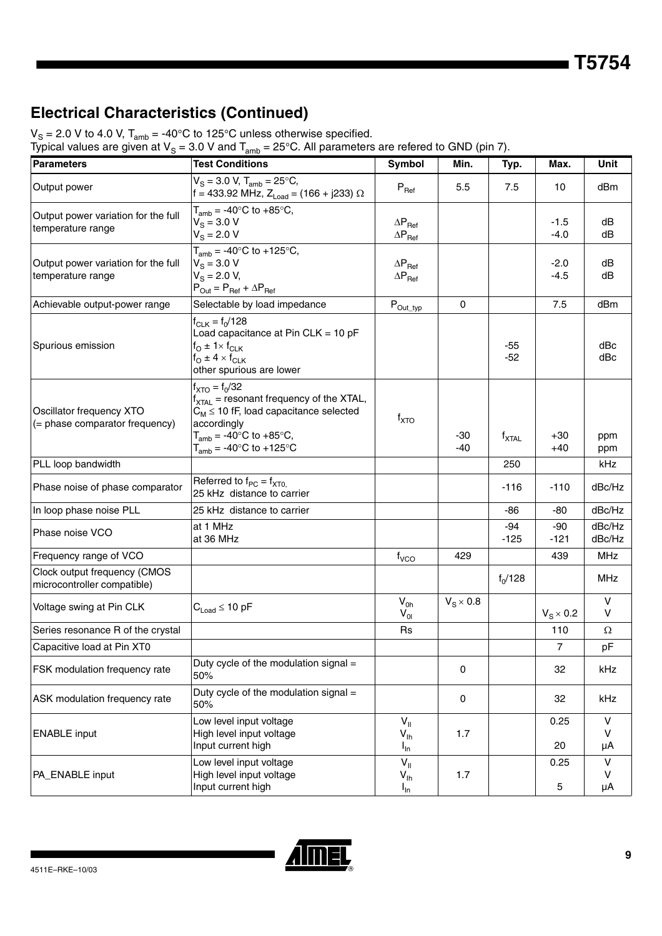# **Electrical Characteristics (Continued)**

 $V_S = 2.0$  V to 4.0 V,  $T_{amb} = -40^{\circ}$ C to 125°C unless otherwise specified.

| <b>Parameters</b>                                           | <b>Test Conditions</b>                                                                                                                                                                                       | Symbol                                                        | Min.             | Typ.              | Max.             | Unit                    |
|-------------------------------------------------------------|--------------------------------------------------------------------------------------------------------------------------------------------------------------------------------------------------------------|---------------------------------------------------------------|------------------|-------------------|------------------|-------------------------|
| Output power                                                | $V_S = 3.0 V$ , $T_{amb} = 25^{\circ}C$ ,<br>f = 433.92 MHz, $Z_{Load}$ = (166 + j233) $\Omega$                                                                                                              | $\mathsf{P}_{\mathsf{Ref}}$                                   | 5.5              | 7.5               | 10               | dBm                     |
| Output power variation for the full<br>temperature range    | $T_{amb}$ = -40°C to +85°C,<br>$V_S = 3.0 V$<br>$V_{\rm S} = 2.0 \text{ V}$                                                                                                                                  | $\Delta P_{\text{Ref}}$<br>$\Delta \mathsf{P}_{\mathsf{Ref}}$ |                  |                   | $-1.5$<br>$-4.0$ | dB<br>dB                |
| Output power variation for the full<br>temperature range    | $T_{amb} = -40$ °C to $+125$ °C,<br>$V_{\rm s}$ = 3.0 V<br>$V_S = 2.0 V,$<br>$P_{Out} = P_{Ref} + \Delta P_{Ref}$                                                                                            | $\Delta \mathsf{P}_{\mathsf{Ref}}$<br>$\Delta P_{\text{Ref}}$ |                  |                   | $-2.0$<br>$-4.5$ | dB<br>dB                |
| Achievable output-power range                               | Selectable by load impedance                                                                                                                                                                                 | $P_{Out\_typ}$                                                | 0                |                   | 7.5              | dBm                     |
| Spurious emission                                           | $f_{CLK} = f_0/128$<br>Load capacitance at Pin CLK = 10 pF<br>$f_{\rm O}$ ± 1× $f_{\rm CLK}$<br>$f_{\rm O}$ ± 4 $\times$ $f_{\rm CLK}$<br>other spurious are lower                                           |                                                               |                  | $-55$<br>$-52$    |                  | dBc<br>dBc              |
| Oscillator frequency XTO<br>(= phase comparator frequency)  | $f_{\text{XTO}} = f_0/32$<br>$f_{\text{XTAL}}$ = resonant frequency of the XTAL,<br>$C_M \leq 10$ fF, load capacitance selected<br>accordingly<br>$T_{amb}$ = -40°C to +85°C,<br>$T_{amb}$ = -40°C to +125°C | $f_{\text{XTO}}$                                              | $-30$<br>-40     | $f_{\text{XTAL}}$ | $+30$<br>+40     | ppm<br>ppm              |
| PLL loop bandwidth                                          |                                                                                                                                                                                                              |                                                               |                  | 250               |                  | kHz                     |
| Phase noise of phase comparator                             | Referred to $f_{PC} = f_{XT0}$<br>25 kHz distance to carrier                                                                                                                                                 |                                                               |                  | -116              | $-110$           | dBc/Hz                  |
| In loop phase noise PLL                                     | 25 kHz distance to carrier                                                                                                                                                                                   |                                                               |                  | $-86$             | -80              | dBc/Hz                  |
| Phase noise VCO                                             | at 1 MHz<br>at 36 MHz                                                                                                                                                                                        |                                                               |                  | -94<br>$-125$     | -90<br>$-121$    | dBc/Hz<br>dBc/Hz        |
| Frequency range of VCO                                      |                                                                                                                                                                                                              | $f_{VCO}$                                                     | 429              |                   | 439              | <b>MHz</b>              |
| Clock output frequency (CMOS<br>microcontroller compatible) |                                                                                                                                                                                                              |                                                               |                  | $f_0/128$         |                  | <b>MHz</b>              |
| Voltage swing at Pin CLK                                    | $C_{Load} \leq 10$ pF                                                                                                                                                                                        | $V_{0h}$<br>$V_{0I}$                                          | $V_S \times 0.8$ |                   | $V_S \times 0.2$ | V<br>V                  |
| Series resonance R of the crystal                           |                                                                                                                                                                                                              | <b>Rs</b>                                                     |                  |                   | 110              | $\Omega$                |
| Capacitive load at Pin XT0                                  |                                                                                                                                                                                                              |                                                               |                  |                   | 7                | pF                      |
| FSK modulation frequency rate                               | Duty cycle of the modulation signal =<br>50%                                                                                                                                                                 |                                                               | 0                |                   | 32               | kHz                     |
| ASK modulation frequency rate                               | Duty cycle of the modulation signal =<br>50%                                                                                                                                                                 |                                                               | 0                |                   | 32               | kHz                     |
| <b>ENABLE</b> input                                         | Low level input voltage<br>High level input voltage<br>Input current high                                                                                                                                    | $V_{\parallel}$<br>$V_{\text{lh}}$<br>$I_{\text{In}}$         | 1.7              |                   | 0.25<br>20       | V<br>$\mathsf{V}$<br>μA |
| PA_ENABLE input                                             | Low level input voltage<br>High level input voltage<br>Input current high                                                                                                                                    | $V_{\parallel}$<br>$V_{\text{lh}}$<br>$I_{\text{In}}$         | 1.7              |                   | 0.25<br>5        | $\sf V$<br>v<br>μA      |

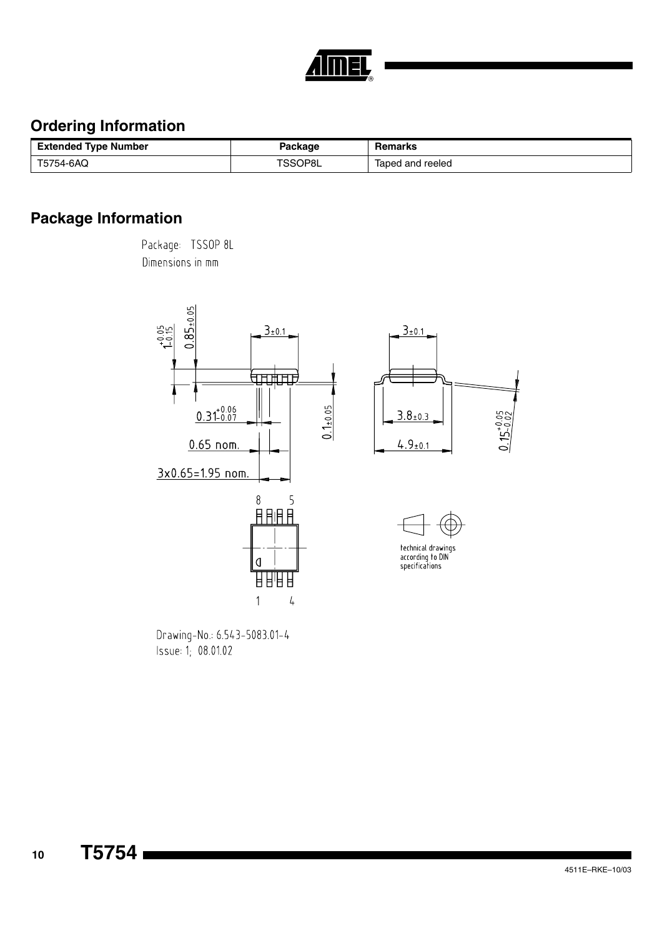

## **Ordering Information**

| <b>Extended Type Number</b> | 'ackage | Remarks          |
|-----------------------------|---------|------------------|
| T5754-6AQ                   | TSSOP8L | laped and reeled |

# **Package Information**

Package: TSSOP 8L Dimensions in mm



Drawing-No.: 6.543-5083.01-4 Issue: 1; 08.01.02